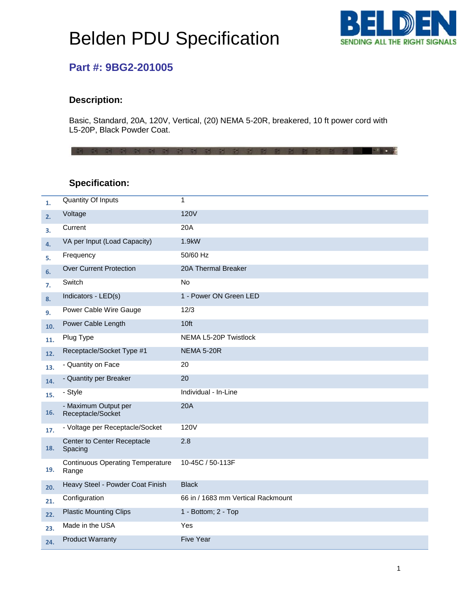# Belden PDU Specification



## **Part #: 9BG2-201005**

#### **Description:**

Basic, Standard, 20A, 120V, Vertical, (20) NEMA 5-20R, breakered, 10 ft power cord with L5-20P, Black Powder Coat.

3 3 3 3 3 3 5 6 7 8 9 3 8 9 8 9 9 9 9

### **Specification:**

| 1.  | <b>Quantity Of Inputs</b>                        | 1                                  |
|-----|--------------------------------------------------|------------------------------------|
| 2.  | Voltage                                          | <b>120V</b>                        |
| 3.  | Current                                          | 20A                                |
| 4.  | VA per Input (Load Capacity)                     | 1.9kW                              |
| 5.  | Frequency                                        | 50/60 Hz                           |
| 6.  | <b>Over Current Protection</b>                   | 20A Thermal Breaker                |
| 7.  | Switch                                           | <b>No</b>                          |
| 8.  | Indicators - LED(s)                              | 1 - Power ON Green LED             |
| 9.  | Power Cable Wire Gauge                           | 12/3                               |
| 10. | Power Cable Length                               | 10ft                               |
| 11. | Plug Type                                        | NEMA L5-20P Twistlock              |
| 12. | Receptacle/Socket Type #1                        | <b>NEMA 5-20R</b>                  |
| 13. | - Quantity on Face                               | 20                                 |
| 14. | - Quantity per Breaker                           | 20                                 |
| 15. | - Style                                          | Individual - In-Line               |
| 16. | - Maximum Output per<br>Receptacle/Socket        | <b>20A</b>                         |
| 17. | - Voltage per Receptacle/Socket                  | <b>120V</b>                        |
| 18. | Center to Center Receptacle<br>Spacing           | 2.8                                |
| 19. | <b>Continuous Operating Temperature</b><br>Range | 10-45C / 50-113F                   |
| 20. | Heavy Steel - Powder Coat Finish                 | <b>Black</b>                       |
| 21. | Configuration                                    | 66 in / 1683 mm Vertical Rackmount |
| 22. | <b>Plastic Mounting Clips</b>                    | 1 - Bottom; 2 - Top                |
| 23. | Made in the USA                                  | Yes                                |
| 24. | <b>Product Warranty</b>                          | <b>Five Year</b>                   |